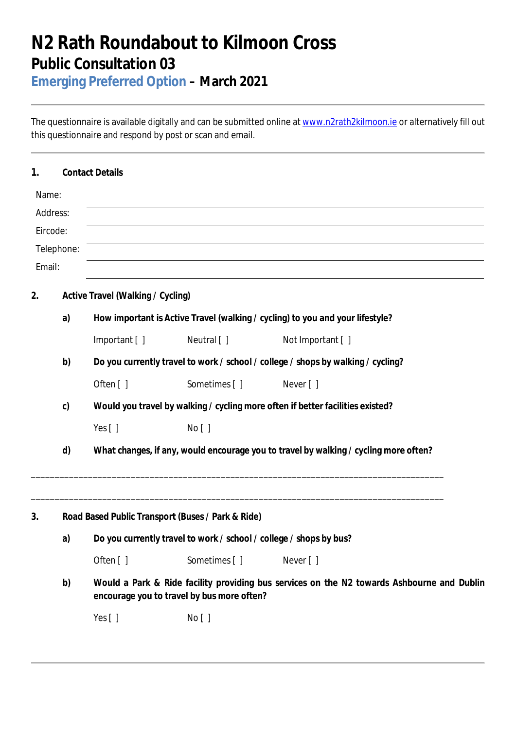## **N2 Rath Roundabout to Kilmoon Cross Public Consultation 03**

**Emerging Preferred Option – March 2021**

The questionnaire is available digitally and can be submitted online at www.n2rath2kilmoon.ie or alternatively fill out this questionnaire and respond by post or scan and email.

| 1.     |                                   | <b>Contact Details</b>                                                                                                                   |                                                                                  |                   |  |  |  |  |
|--------|-----------------------------------|------------------------------------------------------------------------------------------------------------------------------------------|----------------------------------------------------------------------------------|-------------------|--|--|--|--|
| Name:  |                                   |                                                                                                                                          |                                                                                  |                   |  |  |  |  |
|        | Address:                          |                                                                                                                                          |                                                                                  |                   |  |  |  |  |
|        | Eircode:                          |                                                                                                                                          |                                                                                  |                   |  |  |  |  |
|        | Telephone:                        |                                                                                                                                          |                                                                                  |                   |  |  |  |  |
| Email: |                                   |                                                                                                                                          |                                                                                  |                   |  |  |  |  |
| 2.     | Active Travel (Walking / Cycling) |                                                                                                                                          |                                                                                  |                   |  |  |  |  |
|        | a)                                |                                                                                                                                          | How important is Active Travel (walking / cycling) to you and your lifestyle?    |                   |  |  |  |  |
|        |                                   | Important [ ]                                                                                                                            | Neutral [ ]                                                                      | Not Important [ ] |  |  |  |  |
|        | b)                                |                                                                                                                                          | Do you currently travel to work / school / college / shops by walking / cycling? |                   |  |  |  |  |
|        |                                   | Often [ ]                                                                                                                                | Sometimes []                                                                     | Never []          |  |  |  |  |
|        | $\mathsf{C}$                      | Would you travel by walking / cycling more often if better facilities existed?                                                           |                                                                                  |                   |  |  |  |  |
|        |                                   | Yes $[ ]$                                                                                                                                | No [ ]                                                                           |                   |  |  |  |  |
|        | d)                                | What changes, if any, would encourage you to travel by walking / cycling more often?                                                     |                                                                                  |                   |  |  |  |  |
| 3.     |                                   |                                                                                                                                          | Road Based Public Transport (Buses / Park & Ride)                                |                   |  |  |  |  |
|        | a)                                | Do you currently travel to work / school / college / shops by bus?                                                                       |                                                                                  |                   |  |  |  |  |
|        |                                   | Often []                                                                                                                                 | Sometimes []                                                                     | Never [ ]         |  |  |  |  |
|        | b)                                | Would a Park & Ride facility providing bus services on the N2 towards Ashbourne and Dublin<br>encourage you to travel by bus more often? |                                                                                  |                   |  |  |  |  |
|        |                                   | Yes []                                                                                                                                   | No [ ]                                                                           |                   |  |  |  |  |
|        |                                   |                                                                                                                                          |                                                                                  |                   |  |  |  |  |